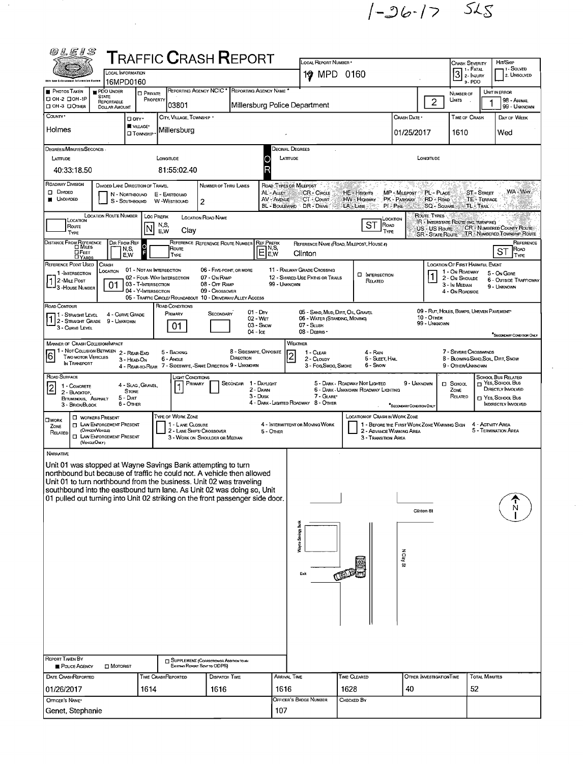$1 - 96 - 17$  525

 $\frac{1}{2}$ 

| 60 L E 1 S                                                                                                                                                                                                                                                                                                                                                                                                                                                     |                                                                                                                                                                                                                                                                                                                                                                                                                                                  |                                                                                                                     |                                                        |          |                                       | <b>TRAFFIC CRASH REPORT</b>                                                                                                                   |  |                           |                                                                | LOCAL REPORT NUMBER . |                                                       |                                                                         |                          |                                      |                            | HIT/SKIP                                     |  |  |
|----------------------------------------------------------------------------------------------------------------------------------------------------------------------------------------------------------------------------------------------------------------------------------------------------------------------------------------------------------------------------------------------------------------------------------------------------------------|--------------------------------------------------------------------------------------------------------------------------------------------------------------------------------------------------------------------------------------------------------------------------------------------------------------------------------------------------------------------------------------------------------------------------------------------------|---------------------------------------------------------------------------------------------------------------------|--------------------------------------------------------|----------|---------------------------------------|-----------------------------------------------------------------------------------------------------------------------------------------------|--|---------------------------|----------------------------------------------------------------|-----------------------|-------------------------------------------------------|-------------------------------------------------------------------------|--------------------------|--------------------------------------|----------------------------|----------------------------------------------|--|--|
|                                                                                                                                                                                                                                                                                                                                                                                                                                                                |                                                                                                                                                                                                                                                                                                                                                                                                                                                  |                                                                                                                     | <b>LOCAL INFORMATION</b>                               |          |                                       |                                                                                                                                               |  |                           |                                                                |                       | 1 <sup>9</sup> MPD 0160                               |                                                                         |                          | <b>CRASH SEVERITY</b><br>3   FATAL   |                            | 1 - Solved<br>2. UNSOLVED                    |  |  |
| <b>Oble Lew Enforcement Information Oystem</b><br><b>PHOTOS TAKEN</b>                                                                                                                                                                                                                                                                                                                                                                                          |                                                                                                                                                                                                                                                                                                                                                                                                                                                  | PDO UNDER                                                                                                           | 16MPD0160<br><b>D</b> PRIVATE                          |          |                                       | REPORTING AGENCY NCIC * REPORTING AGENCY NAME *                                                                                               |  |                           |                                                                |                       |                                                       |                                                                         |                          | 3-PDO<br>NUMBER OF                   |                            | UNIT IN ERROR                                |  |  |
| □ 0Н-2 □ 0Н-1Р<br>OH 3 DOTHER                                                                                                                                                                                                                                                                                                                                                                                                                                  |                                                                                                                                                                                                                                                                                                                                                                                                                                                  | <b>STATE</b><br>REPORTABLE<br>DOLLAR AMOUNT                                                                         |                                                        | PROPERTY | 03801                                 |                                                                                                                                               |  |                           | Millersburg Police Department                                  |                       |                                                       |                                                                         | $\overline{2}$           | Units                                |                            | 98 - Animal<br>99 - UNKNOWN                  |  |  |
| COUNTY <sup>*</sup>                                                                                                                                                                                                                                                                                                                                                                                                                                            |                                                                                                                                                                                                                                                                                                                                                                                                                                                  |                                                                                                                     | D any -                                                |          | CITY, VILLAGE, TOWNSHIP .             |                                                                                                                                               |  |                           |                                                                |                       | CRASH DATE *                                          | TIME OF CRASH                                                           |                          | DAY OF WEEK                          |                            |                                              |  |  |
| <b>WILLAGE*</b><br>Holmes<br>Millersburg<br><b>O</b> TOWNSHIP                                                                                                                                                                                                                                                                                                                                                                                                  |                                                                                                                                                                                                                                                                                                                                                                                                                                                  |                                                                                                                     |                                                        |          |                                       |                                                                                                                                               |  | 01/25/2017<br>1610<br>Wed |                                                                |                       |                                                       |                                                                         |                          |                                      |                            |                                              |  |  |
| DEGREES/MINUTES/SECONDS                                                                                                                                                                                                                                                                                                                                                                                                                                        |                                                                                                                                                                                                                                                                                                                                                                                                                                                  |                                                                                                                     |                                                        |          |                                       |                                                                                                                                               |  |                           | Decimal Degrees                                                |                       |                                                       |                                                                         |                          |                                      |                            |                                              |  |  |
| LATTUDE<br>LONGITUDE<br>LATTUDE<br>O<br>40:33:18.50<br>81:55:02.40                                                                                                                                                                                                                                                                                                                                                                                             |                                                                                                                                                                                                                                                                                                                                                                                                                                                  |                                                                                                                     |                                                        |          |                                       |                                                                                                                                               |  |                           |                                                                |                       |                                                       |                                                                         | LONGITUDE                |                                      |                            |                                              |  |  |
| ROADWAY DIVISION<br>DIVIDED LANE DIRECTION OF TRAVEL<br>ROAD TYPES OR MILEPOST<br>NUMBER OF THRU LANES                                                                                                                                                                                                                                                                                                                                                         |                                                                                                                                                                                                                                                                                                                                                                                                                                                  |                                                                                                                     |                                                        |          |                                       |                                                                                                                                               |  |                           |                                                                |                       |                                                       |                                                                         |                          |                                      |                            |                                              |  |  |
| $\square$ DMDED<br>AL - ALLEY<br><b>CR - CIRCLE</b><br>MP - MILEPOST<br>PL-PLACE<br><b>ST-STREET</b><br>HE - HEIGHTS<br>N - NORTHBOUND<br>E - EASTBOUND<br><b>NOIVIDED</b><br>AV - AVENUE<br>PK - PARKWAY<br><b>TE</b> <sup>2</sup> -Terrace<br>CT - Court<br>HW - Hignway<br>RD - ROAD<br>$\overline{2}$<br>W-WESTBOUND<br>S - SOUTHBOUND<br>BL - BOULEVARD - DR - DRIVE<br>LA LAME<br>$PI - P$ <sup><math>IRE</math></sup><br>SQ - SQUARE<br><b>TL-TRAIL</b> |                                                                                                                                                                                                                                                                                                                                                                                                                                                  |                                                                                                                     |                                                        |          |                                       |                                                                                                                                               |  |                           |                                                                |                       |                                                       | WA-WAY                                                                  |                          |                                      |                            |                                              |  |  |
| <b>LOCATION ROUTE NUMBER</b><br>ROUTE: TYPES<br>LOC PREFIX<br><b>LOCATION ROAD NAME</b><br>Location<br>LOCATION<br>IR - INTERSTATE ROUTE (INC. TURNPIKE)                                                                                                                                                                                                                                                                                                       |                                                                                                                                                                                                                                                                                                                                                                                                                                                  |                                                                                                                     |                                                        |          |                                       |                                                                                                                                               |  |                           |                                                                |                       |                                                       |                                                                         |                          |                                      |                            |                                              |  |  |
| ST<br>ROAD<br>N,S,<br>ROUTE<br><b>CR: NUMBERED COUNTY ROUTE!</b><br>US - US Route<br>Clay<br>E,W<br>TYPE<br>TYPE<br>SR STATE ROUTE TR NUMBERED TOWNSHIP ROUTE                                                                                                                                                                                                                                                                                                  |                                                                                                                                                                                                                                                                                                                                                                                                                                                  |                                                                                                                     |                                                        |          |                                       |                                                                                                                                               |  |                           |                                                                |                       |                                                       |                                                                         |                          |                                      |                            |                                              |  |  |
| DISTANCE FROM REFERENCE<br>DIR FROM REF<br>REFERENCE REFERENCE ROUTE NUMBER<br><b>REF PREFIX</b><br>REFERENCE NAME (ROAD, MILEPOST, HOUSE #)<br>Ō<br>7 N,S,<br>Route<br>ROAD<br>N,S,<br>E<br>ST<br><b>OFEET</b><br>Clinton<br>E,W<br>E,W<br>TYPE<br>TYPE<br><b>LYARDS</b><br>REFERENCE POINT USED<br>LOCATION OF FIRST HARMFUL EVENT                                                                                                                           |                                                                                                                                                                                                                                                                                                                                                                                                                                                  |                                                                                                                     |                                                        |          |                                       |                                                                                                                                               |  |                           |                                                                |                       |                                                       | REFERENCE                                                               |                          |                                      |                            |                                              |  |  |
| 2-MILE POST                                                                                                                                                                                                                                                                                                                                                                                                                                                    | 1 - Intersection                                                                                                                                                                                                                                                                                                                                                                                                                                 | <b>CRASH</b><br>LOCATION                                                                                            | 01 - NOT AN INTERSECTION<br>02 - FOUR-WAY INTERSECTION |          |                                       | 06 - FIVE-POINT, OR MORE<br>07 - On RAMP                                                                                                      |  |                           | 11 - RAILWAY GRADE CROSSING<br>12 - Shared-Use Paths or Trails |                       | <b>O</b> INTERSECTION<br>RELATED                      |                                                                         |                          | 1 - On ROADWAY<br>2 - ON SHOULDE     |                            | 5 - On Gore<br><b>6 - OUTSIDE TRAFFICWAY</b> |  |  |
|                                                                                                                                                                                                                                                                                                                                                                                                                                                                | <sup>1</sup> 3 - House Number                                                                                                                                                                                                                                                                                                                                                                                                                    | 01                                                                                                                  | 03 - T-INTERSECTION<br>04 - Y-INTERSECTION             |          |                                       | 08 - Off RAMP<br>09 - Crossover                                                                                                               |  | 99 - UNKNOWN              |                                                                |                       |                                                       |                                                                         |                          | 3 - In Median<br>4 - On ROADSIDE     |                            | 9 - UNKNOWN                                  |  |  |
| ROAD CONTOUR                                                                                                                                                                                                                                                                                                                                                                                                                                                   |                                                                                                                                                                                                                                                                                                                                                                                                                                                  |                                                                                                                     |                                                        |          | ROAD CONDITIONS                       | 05 - TRAFFIC CIRCLE/ ROUNDABOUT 10 - DRIVEWAY/ ALLEY ACCESS                                                                                   |  |                           |                                                                |                       |                                                       |                                                                         |                          |                                      |                            |                                              |  |  |
| 09 - RUT, HOLES, BUMPS, UNEVEN PAVEMENT*<br>$01 - \text{Day}$<br>05 - SAND, MUD, DIRT, OIL, GRAVEL<br>PRIMARY<br>SECONDARY<br>4 - CURVE GRADE<br>1 - Straight Level<br>1 2 - STRAIGHT GRADE 9 - UNKNOWN<br>10 - OTHER<br>06 - WATER (STANDING, MOVING)<br>$02 - W_{ET}$<br>99 - UNKNOWN<br>03 - Snow<br>07 - SLUSH<br>01<br>3 - CURVE LEVEL<br>04 - Ice<br>08 - DEBRIS                                                                                         |                                                                                                                                                                                                                                                                                                                                                                                                                                                  |                                                                                                                     |                                                        |          |                                       |                                                                                                                                               |  |                           |                                                                |                       | SECONDARY CONDITION ONLY                              |                                                                         |                          |                                      |                            |                                              |  |  |
|                                                                                                                                                                                                                                                                                                                                                                                                                                                                | WEATHER<br>MANNER OF CRASH COLLISION/IMPACT                                                                                                                                                                                                                                                                                                                                                                                                      |                                                                                                                     |                                                        |          |                                       |                                                                                                                                               |  |                           |                                                                |                       |                                                       |                                                                         |                          |                                      |                            |                                              |  |  |
|                                                                                                                                                                                                                                                                                                                                                                                                                                                                | 1 - Not Colusion Between 2 - Rear-End<br>8 - SIDESWIPE, OPPOSITE<br>7 - SEVERE CROSSWINDS<br>5 - BACKING<br>4 - RAIN<br>1 - CLEAR<br>$\overline{6}$<br>$\overline{2}$<br>Two MOTOR VEHICLES<br>DIRECTION<br>6 - Angle<br>5 - Sleet, Hall<br>8 - Blowing Sand, Soil Dirt, Snow<br>2 - CLOUDY<br>3 - HEAD-ON<br>IN TRANSPORT<br>4 - REAR-TO-REAR 7 - SIDESWIPE, SAME DIRECTION 9 - UNKNOWN<br>6 - Snow<br>9 - OTHER/UNKNOWN<br>3 - Fog Smog, Smoke |                                                                                                                     |                                                        |          |                                       |                                                                                                                                               |  |                           |                                                                |                       |                                                       |                                                                         |                          |                                      |                            |                                              |  |  |
|                                                                                                                                                                                                                                                                                                                                                                                                                                                                | ROAD SURFACE<br><b>SCHOOL BUS RELATED</b><br>LIGHT CONDITIONS<br>$\Box$ Yes, School Bus<br>SECONDAR 1 - DAYLIGHT<br>5 - DARK - ROADWAY NOT LIGHTED<br>9 - UNKNOWN<br>PRIMARY                                                                                                                                                                                                                                                                     |                                                                                                                     |                                                        |          |                                       |                                                                                                                                               |  |                           |                                                                |                       |                                                       |                                                                         |                          |                                      |                            |                                              |  |  |
| $\overline{2}$                                                                                                                                                                                                                                                                                                                                                                                                                                                 | 1 - CONCRETE<br>2 - BLACKTOP,<br>BITUMINOUS, ASPHALT                                                                                                                                                                                                                                                                                                                                                                                             |                                                                                                                     | 4 - Slag, Gravel,<br><b>STONE</b><br>$5 - D$           |          |                                       |                                                                                                                                               |  | 2 - DAWN<br>3 - Dusk      |                                                                | 7 - GLARE*            | 6 - DARK - UNKNOWN ROADWAY LIGHTING                   |                                                                         |                          | $\square$ Sсноог,<br>ZONE<br>RELATED |                            | Directly Involved<br>T YES, SCHOOL BUS       |  |  |
|                                                                                                                                                                                                                                                                                                                                                                                                                                                                | 3 - BRICK/BLOCK                                                                                                                                                                                                                                                                                                                                                                                                                                  |                                                                                                                     | 6 - OTHER                                              |          |                                       |                                                                                                                                               |  |                           | 4 - DARK - LIGHTED ROADWAY 8 - OTHER                           |                       |                                                       | <sup>*</sup> SECONDARY CONDITION ONL                                    |                          |                                      |                            | INDIRECTLY INVOLVED                          |  |  |
| <b>OWORK</b><br>ZONE<br>RELATED                                                                                                                                                                                                                                                                                                                                                                                                                                | (VENCLEONLY)                                                                                                                                                                                                                                                                                                                                                                                                                                     | <b>U</b> WORKERS PRESENT<br><b>T LAW ENFORCEMENT PRESENT</b><br>(Огноэл Vенасы)<br><b>I LAW ENFORCEMENT PRESENT</b> |                                                        |          | TYPE OF WORK ZONE<br>1 - LANE CLOSURE | 2 - LANE SHIFT/ CROSSOVER<br>3 - WORK ON SHOULDER OR MEDIAN                                                                                   |  | 5 - Other                 | 4 - INTERMITTENT OR MOVING WORK                                |                       | LOCATION OF CRASH IN WORK ZONE<br>3 - Transition Area | 1 - BEFORE THE FIRST WORK ZONE WARNING SIGN<br>2 - ADVANCE WARNING AREA |                          |                                      | 4 - ACTIVITY AREA          | 5 - TERMINATION AREA                         |  |  |
| NARRATIVE                                                                                                                                                                                                                                                                                                                                                                                                                                                      |                                                                                                                                                                                                                                                                                                                                                                                                                                                  |                                                                                                                     |                                                        |          |                                       |                                                                                                                                               |  |                           |                                                                |                       |                                                       |                                                                         |                          |                                      |                            |                                              |  |  |
|                                                                                                                                                                                                                                                                                                                                                                                                                                                                |                                                                                                                                                                                                                                                                                                                                                                                                                                                  |                                                                                                                     |                                                        |          |                                       | Unit 01 was stopped at Wayne Savings Bank attempting to turn<br>northbound but because of traffic he could not. A vehicle then allowed        |  |                           |                                                                |                       |                                                       |                                                                         |                          |                                      |                            |                                              |  |  |
|                                                                                                                                                                                                                                                                                                                                                                                                                                                                |                                                                                                                                                                                                                                                                                                                                                                                                                                                  |                                                                                                                     |                                                        |          |                                       | Unit 01 to turn northbound from the business. Unit 02 was traveling<br>southbound into the eastbound turn lane. As Unit 02 was doing so, Unit |  |                           |                                                                |                       |                                                       |                                                                         |                          |                                      |                            |                                              |  |  |
|                                                                                                                                                                                                                                                                                                                                                                                                                                                                |                                                                                                                                                                                                                                                                                                                                                                                                                                                  |                                                                                                                     |                                                        |          |                                       | 01 pulled out turning into Unit 02 striking on the front passenger side door.                                                                 |  |                           |                                                                |                       |                                                       |                                                                         |                          |                                      |                            |                                              |  |  |
|                                                                                                                                                                                                                                                                                                                                                                                                                                                                |                                                                                                                                                                                                                                                                                                                                                                                                                                                  |                                                                                                                     |                                                        |          |                                       |                                                                                                                                               |  |                           |                                                                |                       |                                                       |                                                                         | Clinton St               |                                      |                            |                                              |  |  |
|                                                                                                                                                                                                                                                                                                                                                                                                                                                                |                                                                                                                                                                                                                                                                                                                                                                                                                                                  |                                                                                                                     |                                                        |          |                                       |                                                                                                                                               |  |                           | â<br>Strings                                                   |                       |                                                       |                                                                         |                          |                                      |                            |                                              |  |  |
|                                                                                                                                                                                                                                                                                                                                                                                                                                                                |                                                                                                                                                                                                                                                                                                                                                                                                                                                  |                                                                                                                     |                                                        |          |                                       |                                                                                                                                               |  |                           | Virgile                                                        |                       |                                                       |                                                                         |                          |                                      |                            |                                              |  |  |
|                                                                                                                                                                                                                                                                                                                                                                                                                                                                |                                                                                                                                                                                                                                                                                                                                                                                                                                                  |                                                                                                                     |                                                        |          |                                       |                                                                                                                                               |  |                           |                                                                |                       |                                                       | <b>NCIay St</b>                                                         |                          |                                      |                            |                                              |  |  |
|                                                                                                                                                                                                                                                                                                                                                                                                                                                                |                                                                                                                                                                                                                                                                                                                                                                                                                                                  |                                                                                                                     |                                                        |          |                                       |                                                                                                                                               |  |                           | Exit                                                           |                       |                                                       |                                                                         |                          |                                      |                            |                                              |  |  |
|                                                                                                                                                                                                                                                                                                                                                                                                                                                                |                                                                                                                                                                                                                                                                                                                                                                                                                                                  |                                                                                                                     |                                                        |          |                                       |                                                                                                                                               |  |                           |                                                                |                       |                                                       |                                                                         |                          |                                      |                            |                                              |  |  |
|                                                                                                                                                                                                                                                                                                                                                                                                                                                                |                                                                                                                                                                                                                                                                                                                                                                                                                                                  |                                                                                                                     |                                                        |          |                                       |                                                                                                                                               |  |                           |                                                                |                       |                                                       |                                                                         |                          |                                      |                            |                                              |  |  |
|                                                                                                                                                                                                                                                                                                                                                                                                                                                                |                                                                                                                                                                                                                                                                                                                                                                                                                                                  |                                                                                                                     |                                                        |          |                                       |                                                                                                                                               |  |                           |                                                                |                       |                                                       |                                                                         |                          |                                      |                            |                                              |  |  |
|                                                                                                                                                                                                                                                                                                                                                                                                                                                                |                                                                                                                                                                                                                                                                                                                                                                                                                                                  |                                                                                                                     |                                                        |          |                                       |                                                                                                                                               |  |                           |                                                                |                       |                                                       |                                                                         |                          |                                      |                            |                                              |  |  |
| REPORT TAKEN BY                                                                                                                                                                                                                                                                                                                                                                                                                                                |                                                                                                                                                                                                                                                                                                                                                                                                                                                  |                                                                                                                     |                                                        |          |                                       |                                                                                                                                               |  |                           |                                                                |                       |                                                       |                                                                         |                          |                                      |                            |                                              |  |  |
|                                                                                                                                                                                                                                                                                                                                                                                                                                                                | POUCE AGENCY                                                                                                                                                                                                                                                                                                                                                                                                                                     | $\Box$ MOTORIST                                                                                                     |                                                        |          |                                       | <b>J</b> SUPPLEMENT (CORRECTION OR ADDITION TO AN<br>Existing Report Sent to ODPS)                                                            |  |                           |                                                                |                       |                                                       |                                                                         |                          |                                      |                            |                                              |  |  |
| DATE CRASHREPORTED<br>01/26/2017                                                                                                                                                                                                                                                                                                                                                                                                                               |                                                                                                                                                                                                                                                                                                                                                                                                                                                  |                                                                                                                     | 1614                                                   |          | TIME CRASHREPORTED                    | <b>DISPATCH TIME</b><br>1616                                                                                                                  |  | 1616                      | <b>ARRIVAL TIME</b>                                            |                       | TIME CLEARED<br>1628                                  | 40                                                                      | OTHER INVESTIGATION TIME |                                      | <b>TOTAL MINUTES</b><br>52 |                                              |  |  |
| OFFICER'S NAME*                                                                                                                                                                                                                                                                                                                                                                                                                                                |                                                                                                                                                                                                                                                                                                                                                                                                                                                  |                                                                                                                     |                                                        |          |                                       |                                                                                                                                               |  |                           | OFFICER'S BADGE NUMBER                                         |                       | Снескер Ву                                            |                                                                         |                          |                                      |                            |                                              |  |  |
| Genet, Stephanie                                                                                                                                                                                                                                                                                                                                                                                                                                               |                                                                                                                                                                                                                                                                                                                                                                                                                                                  |                                                                                                                     |                                                        |          |                                       |                                                                                                                                               |  | 107                       |                                                                |                       |                                                       |                                                                         |                          |                                      |                            |                                              |  |  |

 $\overline{z}$ 

 $\frac{1}{2}$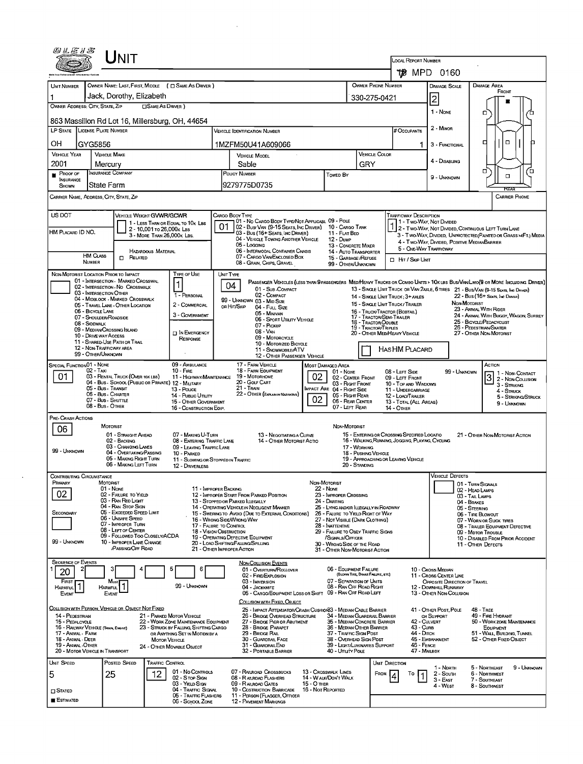|                                                 | UNIT                                                                                            |                                                 |                                                                                                             |                                                                                                                                                                                            |                                                                                                                                                                |                                                                                                                           |                                                                                                                                                    |                                      |                                            |                                                         |                                                       |                              |                                                                                                                        |  |  |
|-------------------------------------------------|-------------------------------------------------------------------------------------------------|-------------------------------------------------|-------------------------------------------------------------------------------------------------------------|--------------------------------------------------------------------------------------------------------------------------------------------------------------------------------------------|----------------------------------------------------------------------------------------------------------------------------------------------------------------|---------------------------------------------------------------------------------------------------------------------------|----------------------------------------------------------------------------------------------------------------------------------------------------|--------------------------------------|--------------------------------------------|---------------------------------------------------------|-------------------------------------------------------|------------------------------|------------------------------------------------------------------------------------------------------------------------|--|--|
|                                                 |                                                                                                 |                                                 |                                                                                                             |                                                                                                                                                                                            |                                                                                                                                                                | <b>LOCAL REPORT NUMBER</b><br>1†∦8 MPD 0160                                                                               |                                                                                                                                                    |                                      |                                            |                                                         |                                                       |                              |                                                                                                                        |  |  |
|                                                 |                                                                                                 |                                                 |                                                                                                             |                                                                                                                                                                                            |                                                                                                                                                                | OWNER PHONE NUMBER                                                                                                        |                                                                                                                                                    |                                      |                                            |                                                         |                                                       |                              |                                                                                                                        |  |  |
| <b>UNIT NUMBER</b>                              | Jack, Dorothy, Elizabeth                                                                        |                                                 | OWNER NAME: LAST, FIRST, MIDDLE ( C SAME AS DRIVER )                                                        |                                                                                                                                                                                            |                                                                                                                                                                |                                                                                                                           |                                                                                                                                                    |                                      |                                            |                                                         | <b>DAMAGE SCALE</b>                                   |                              | <b>DAMAGE AREA</b><br>Front                                                                                            |  |  |
| OWNER ADDRESS: CITY, STATE, ZIP                 |                                                                                                 |                                                 | <b>CISAME AS DRIVER</b> )                                                                                   |                                                                                                                                                                                            |                                                                                                                                                                |                                                                                                                           |                                                                                                                                                    | 330-275-0421                         |                                            |                                                         | 2<br>1 - None                                         |                              |                                                                                                                        |  |  |
| 863 Massillon Rd Lot 16, Millersburg, OH, 44654 |                                                                                                 |                                                 |                                                                                                             |                                                                                                                                                                                            |                                                                                                                                                                |                                                                                                                           |                                                                                                                                                    |                                      |                                            |                                                         |                                                       |                              | ο                                                                                                                      |  |  |
| LP STATE LICENSE PLATE NUMBER                   |                                                                                                 |                                                 |                                                                                                             |                                                                                                                                                                                            |                                                                                                                                                                | # Occupants                                                                                                               |                                                                                                                                                    | 2 - MINOR                            |                                            |                                                         |                                                       |                              |                                                                                                                        |  |  |
| OН                                              | GYG5856                                                                                         |                                                 |                                                                                                             |                                                                                                                                                                                            | 1MZFM50U41A609066                                                                                                                                              |                                                                                                                           |                                                                                                                                                    |                                      |                                            | 1.                                                      | 3 - FUNCTIONAL                                        |                              | $\Box$<br>□                                                                                                            |  |  |
| <b>VEHICLE YEAR</b>                             | <b>VEHICLE MAKE</b>                                                                             |                                                 |                                                                                                             |                                                                                                                                                                                            | <b>VEHICLE MODEL</b>                                                                                                                                           |                                                                                                                           |                                                                                                                                                    | <b>VEHICLE COLOR</b>                 |                                            |                                                         | 4 - DISABLING                                         |                              |                                                                                                                        |  |  |
| 2001<br>PROOF OF                                | Mercury<br><b>INSURANCE COMPANY</b>                                                             |                                                 |                                                                                                             |                                                                                                                                                                                            | Sable<br>POLICY NUMBER                                                                                                                                         |                                                                                                                           | Towed By                                                                                                                                           | GRY                                  |                                            |                                                         |                                                       |                              | ם<br>о<br>α                                                                                                            |  |  |
| <b>INSURANCE</b><br><b>SHOWN</b>                | State Farm                                                                                      |                                                 |                                                                                                             |                                                                                                                                                                                            | 9279775D0735                                                                                                                                                   |                                                                                                                           |                                                                                                                                                    |                                      |                                            |                                                         | 9 - UNKNOWN                                           |                              | REAG                                                                                                                   |  |  |
|                                                 | CARRIER NAME, ADDRESS, CITY, STATE, ZIP                                                         |                                                 |                                                                                                             |                                                                                                                                                                                            |                                                                                                                                                                |                                                                                                                           |                                                                                                                                                    |                                      |                                            |                                                         |                                                       |                              | <b>CARRIER PHONE</b>                                                                                                   |  |  |
| US DOT                                          |                                                                                                 | VEHICLE WEIGHT GVWR/GCWR                        |                                                                                                             |                                                                                                                                                                                            | Cargo Body Type                                                                                                                                                |                                                                                                                           |                                                                                                                                                    |                                      | <b>TRAFFICWAY DESCRIPTION</b>              |                                                         |                                                       |                              |                                                                                                                        |  |  |
| HM PLACARD ID NO.                               |                                                                                                 |                                                 | 1 - LESS THAN OR EQUAL TO 10K LBS<br>2 - 10,001 To 26,000 k Las                                             |                                                                                                                                                                                            | 01 - No CARGO BODY TYPE/NOT APPLICABL 09 - POLE<br>02 - Bus/Van (9-15 Seats, Inc Driver) 10 - Cargo Tank                                                       |                                                                                                                           | 11 - Flat Bed                                                                                                                                      |                                      |                                            |                                                         | 1 - Two Way, Not Divided                              |                              | 1 2 - TWO-WAY, NOT DIVIDED, CONTINUOUS LEFT TURN LANE                                                                  |  |  |
|                                                 |                                                                                                 |                                                 | 3 MORE THAN 26,000K LBS.                                                                                    | 03 - Bus (16+ Seats, Inc Driver)<br>04 - VEHICLE TOWING ANOTHER VEHICLE<br><b>12 - DuмP</b><br>05 - Logging                                                                                |                                                                                                                                                                |                                                                                                                           |                                                                                                                                                    | 13 - CONCRETE MIXER                  |                                            |                                                         | 4 - Two-Way, Divided, Positive Median Barrier         |                              | 3 - Two-Way, DIMDED, UNPROTECTED (PAINTED OR GRASS > FT.) MEDIA                                                        |  |  |
|                                                 | HM CLASS                                                                                        | HAZARDOUS MATERIAL<br>$\Box$ Related            |                                                                                                             |                                                                                                                                                                                            | 06 - INTERMODAL CONTAINER CHASIS<br>07 - CARGO VAN ENCLOSED BOX                                                                                                |                                                                                                                           | 14 - AUTO TRANSPORTER<br>15 - GARBAGE / REFUSE                                                                                                     |                                      | <b>D</b> HIT / SKIP UNIT                   |                                                         | 5 - ONE-WAY TRAFFICWAY                                |                              |                                                                                                                        |  |  |
|                                                 | <b>NUMBER</b><br>NON-MOTORIST LOCATION PRIOR TO IMPACT                                          |                                                 | TYPE OF USE                                                                                                 |                                                                                                                                                                                            | 08 - GRAIN, CHIPS, GRAVEL                                                                                                                                      |                                                                                                                           | 99 - OTHER/UNKNOWN<br>PASSENGER VEHICLES (LESS THAN 9 PASSENGERS MED/HEAVY TRUCKS OR COMBO UNITS > 10K LBS BUS/VAWLIMO(9 OR MORE INCLUDING DRIVER) |                                      |                                            |                                                         |                                                       |                              |                                                                                                                        |  |  |
|                                                 | 01 - INTERSECTION - MARKED CROSSWAL                                                             |                                                 | 1                                                                                                           | UNIT TYPE                                                                                                                                                                                  | 04                                                                                                                                                             |                                                                                                                           |                                                                                                                                                    |                                      |                                            |                                                         |                                                       |                              |                                                                                                                        |  |  |
|                                                 | 02 - INTERSECTION - NO CROSSWALK<br>03 - INTERSECTION OTHER<br>04 - MIDBLOCK - MARKED CROSSWALK |                                                 | 1 - PERSONAL                                                                                                |                                                                                                                                                                                            | 01 - Sub-COMPACT<br>02 - COMPACT                                                                                                                               |                                                                                                                           |                                                                                                                                                    |                                      | 14 - SINGLE UNIT TRUCK: 3+ AXLES           |                                                         |                                                       |                              | 13 - SINGLE UNIT TRUCK OR VAN 2AXLE, 6 TIRES 21 - BUS/VAN (9-15 SEATS, INC DRIVER)<br>22 - BUS (16+ SEATS, INC DRIVER) |  |  |
|                                                 | 05 - TRAVEL LANE - OTHER LOCATION<br>06 - BICYCLE LANE                                          |                                                 | 2 - COMMERCIAL                                                                                              |                                                                                                                                                                                            | 99 - UNKNOWN 03 - MID SIZE<br>OR HIT/SKIP<br>04 - Full Size                                                                                                    |                                                                                                                           |                                                                                                                                                    |                                      | 15 - SINGLE UNIT TRUCK/ TRAILER            |                                                         |                                                       | NON-MOTORIST                 | 23 - AMMAL WITH RIDER                                                                                                  |  |  |
|                                                 | 07 - SHOULDER/ROADSIDE<br>08 - SIDEWALK                                                         |                                                 | 3 - GOVERNMENT                                                                                              |                                                                                                                                                                                            | 16 - TRUCK/TRACTOR (BOSTAIL)<br>05 - MINIVAN<br>17 - Tractor/Semi-Trailer<br>06 - SPORT UTILITY VEHICLE<br>18 - Tractor/Double<br>07 - Pickup                  |                                                                                                                           |                                                                                                                                                    |                                      |                                            |                                                         |                                                       |                              | 24 - ANIMAL WITH BUGGY, WAGON, SURREY<br>25 - BICYCLE/PEDACYCLIST                                                      |  |  |
|                                                 | 09 - MEDIAN/CROSSING ISLAND<br>10 - DRIVE WAY ACCESS                                            |                                                 | <b>IN EMERGENCY</b><br>RESPONSE                                                                             | <b>19 - TRACTOR/TRIPLES</b><br>08 - VAN<br>09 - MOTORCYCLE                                                                                                                                 |                                                                                                                                                                |                                                                                                                           |                                                                                                                                                    |                                      | 20 - OTHER MED/HEAVY VEHICLE               |                                                         |                                                       |                              | 26 - PEDESTRIAN SKATER<br>27 - OTHER NON-MOTORIST                                                                      |  |  |
|                                                 | 11 - SHARED-USE PATH OR TRAIL<br>12 - NON-TRAFFICWAY AREA                                       |                                                 |                                                                                                             |                                                                                                                                                                                            | 10 - MOTORIZED BICYCLE<br>11 - SNOWMOBILE/ATV                                                                                                                  |                                                                                                                           |                                                                                                                                                    |                                      | HAS HM PLACARD                             |                                                         |                                                       |                              |                                                                                                                        |  |  |
| SPECIAL FUNCTION 01 - NONE                      | 99 - OTHER/UNKNOWN                                                                              |                                                 | 09 - AMBULANCE                                                                                              |                                                                                                                                                                                            | 12 - OTHER PASSENGER VEHICLE<br>17 - FARM VEHICLE                                                                                                              | <b>MOST DAMAGED AREA</b>                                                                                                  |                                                                                                                                                    |                                      |                                            |                                                         |                                                       |                              | Аспом                                                                                                                  |  |  |
| 01                                              | $02 - T_A x$<br>03 - RENTAL TRUCK (OVER 10K LBS)                                                |                                                 | $10 -$ Fire<br>11 - HIGHWAY/MAINTENANCE                                                                     |                                                                                                                                                                                            | <b>18 - FARM EQUIPMENT</b><br>01 - None<br>02<br>19 - Мотовноме<br>02 - CENTER FRONT                                                                           |                                                                                                                           |                                                                                                                                                    |                                      |                                            | 08 - LEFT SIDE<br>99 - UNKNOWN<br>09 - LEFT FRONT       |                                                       |                              | 1 - Non-Contact<br>3                                                                                                   |  |  |
|                                                 | 04 - Bus - SCHOOL (PUBLIC OR PRIVATE) 12 - MILITARY<br>05 - Bus - Transit                       |                                                 | $13 - \text{Pouce}$                                                                                         |                                                                                                                                                                                            | 20 - GOLF CART<br><b>21 - TRAIN</b>                                                                                                                            |                                                                                                                           | 03 - Right Front<br>IMPACT ARE 04 - RIGHT SIDE                                                                                                     |                                      | 10 - TOP AND WINDOWS<br>11 - UNDERCARRIAGE |                                                         |                                                       |                              | 2 - NON-COLLISION<br>3 - STRIKING<br>4 - Struck                                                                        |  |  |
|                                                 | 06 - Bus - Charter<br>07 - Bus - SHUTTLE                                                        |                                                 | 14 - Pusuc Unury<br>15 - OTHER GOVERNMENT                                                                   |                                                                                                                                                                                            | 22 - OTHER (EXPLAN IN NARRA TIVE)                                                                                                                              | 05 - Right Rear<br>12 - LOAD/TRAILER<br>02<br>06 - REAR CENTER<br>13 - TOTAL (ALL AREAS)<br>9 - Unknown<br>07 - LEFT REAR |                                                                                                                                                    |                                      |                                            |                                                         |                                                       | 5 - STRIKING/STRUCK          |                                                                                                                        |  |  |
| PRE- CRASH ACTIONS                              | 08 - Bus - OTHER                                                                                |                                                 | 16 - CONSTRUCTION EOIP.                                                                                     |                                                                                                                                                                                            |                                                                                                                                                                |                                                                                                                           |                                                                                                                                                    |                                      | 14 - Отнев                                 |                                                         |                                                       |                              |                                                                                                                        |  |  |
| 06                                              | <b>MOTORIST</b>                                                                                 |                                                 |                                                                                                             |                                                                                                                                                                                            |                                                                                                                                                                |                                                                                                                           | NON MOTORIST                                                                                                                                       |                                      |                                            |                                                         |                                                       |                              |                                                                                                                        |  |  |
|                                                 | 01 - STRAIGHT AHEAD<br>02 - BACKING                                                             |                                                 | 07 - MAKING U-TURN<br>08 - ENTERING TRAFFIC LANE                                                            | 15 - ENTERING OR CROSSING SPECIFIED LOCATIO<br>13 - Negotiating a Curve<br>21 - OTHER NON-MOTORIST ACTION<br>16 - WALKING, RUNNING, JOGGING, PLAYING, CYCLING<br>14 - OTHER MOTORIST ACTIO |                                                                                                                                                                |                                                                                                                           |                                                                                                                                                    |                                      |                                            |                                                         |                                                       |                              |                                                                                                                        |  |  |
| 99 - Unknown                                    | 03 - CHANGING LANES                                                                             | 04 - OVERTAKING/PASSING                         | 09 - LEAVING TRAFFIC LANE<br>10 - PARKED                                                                    |                                                                                                                                                                                            |                                                                                                                                                                |                                                                                                                           |                                                                                                                                                    | 17 - WORKING<br>18 - Pushing Vehicle |                                            |                                                         |                                                       |                              |                                                                                                                        |  |  |
|                                                 |                                                                                                 | 05 - MAKING RIGHT TURN<br>06 - MAKING LEFT TURN | 12 - DRIVERLESS                                                                                             |                                                                                                                                                                                            | 19 - APPROACHING OR LEAVING VEHICLE<br>11 - SLOWING OR STOPPED IN TRAFFIC<br>20 - Standing                                                                     |                                                                                                                           |                                                                                                                                                    |                                      |                                            |                                                         |                                                       |                              |                                                                                                                        |  |  |
| Contributing Circumstance<br>PRIMARY            | MOTORIST                                                                                        |                                                 |                                                                                                             |                                                                                                                                                                                            |                                                                                                                                                                | NON-MOTORIST                                                                                                              |                                                                                                                                                    |                                      |                                            |                                                         | Vehicle Defects                                       |                              |                                                                                                                        |  |  |
| 02                                              | $01 - None$<br>02 - FAILURE TO YIELD                                                            |                                                 |                                                                                                             | 11 - IMPROPER BACKING<br><b>22 - None</b><br>12 - IMPROPER START FROM PARKED POSITION<br>23 - IMPROPER CROSSING                                                                            |                                                                                                                                                                |                                                                                                                           |                                                                                                                                                    |                                      |                                            | 01 - TURN SIGNALS<br>02 - HEAD LAMPS<br>03 - TAIL LAMPS |                                                       |                              |                                                                                                                        |  |  |
|                                                 | 03 - RAN RED LIGHT<br>04 - RAN STOP SIGN                                                        |                                                 |                                                                                                             |                                                                                                                                                                                            | 13 - Stopped or Parked LLEGALLY<br>14 - OPERATING VEHICLE IN NEGLIGENT MANNER                                                                                  |                                                                                                                           | 24 DARTING<br>25 - LYING AND/OR LLEGALLY IN ROADWAY                                                                                                |                                      |                                            |                                                         |                                                       | 04 - BRAKES<br>05 - STEERING |                                                                                                                        |  |  |
| Secondary                                       | 05 - Exceeded Speed Limit<br>06 - Unsafe Speed                                                  |                                                 |                                                                                                             |                                                                                                                                                                                            | 15 - SWERING TO AVDID (DUE TO EXTERNAL CONDITIONS)<br>16 - WRONG SIDE/WRDNG WAY                                                                                |                                                                                                                           | 26 - FALURE TO YIELD RIGHT OF WAY<br>06 - TIRE BLOWOUT<br>27 - NOT VISIBLE (DARK CLOTHING)<br>07 - WORN OR SLICK TIRES                             |                                      |                                            |                                                         |                                                       |                              |                                                                                                                        |  |  |
|                                                 | 07 - IMPROPER TURN<br>08 - LEFT OF CENTER<br>09 - FOLLOWED TOO CLOSELY/ACDA                     |                                                 | 17 - FALURE TO CONTROL<br><b>18 - VISION OBSTRUCTION</b>                                                    |                                                                                                                                                                                            |                                                                                                                                                                | 28 INATTENTIVE<br>29 - FAILURE TO OBEY TRAFFIC SIGNS                                                                      |                                                                                                                                                    |                                      |                                            |                                                         |                                                       | 09 - MOTOR TROUBLE           | 08 - TRAILER EQUIPMENT DEFECTIVE                                                                                       |  |  |
| 99 - Unknown                                    | 10 - IMPROPER LANE CHANGE                                                                       | <b>/PASSING/OFF ROAD</b>                        | 21 - OTHER IMPROPER ACTION                                                                                  |                                                                                                                                                                                            | 19 - OPERATING DEFECTIVE EQUIPMENT<br>/SIGNALS/OFFICER<br>20 - LOAD SHIFTING/FALLING/SPILLING<br>30 - WRONG SIDE OF THE ROAD<br>31 - OTHER NON-MOTORIST ACTION |                                                                                                                           |                                                                                                                                                    |                                      |                                            |                                                         |                                                       | 11 - OTHER DEFECTS           | 10 - DISABLED FROM PRIOR ACCIDENT                                                                                      |  |  |
| <b>SEQUENCE OF EVENTS</b>                       |                                                                                                 |                                                 |                                                                                                             |                                                                                                                                                                                            | <b>NON-COLLISION EVENTS</b>                                                                                                                                    |                                                                                                                           |                                                                                                                                                    |                                      |                                            |                                                         |                                                       |                              |                                                                                                                        |  |  |
| 20                                              |                                                                                                 |                                                 |                                                                                                             |                                                                                                                                                                                            | 01 - OVERTURN/ROLLOVER<br>02 - FIRE/EXPLOSION                                                                                                                  |                                                                                                                           | 06 - EQUIPMENT FAILURE                                                                                                                             | (BLOWN TIRE, BRAKE FALURE, ETC)      |                                            |                                                         | 10 - Cross Median<br>11 - Cross CENTER LINE           |                              |                                                                                                                        |  |  |
| FIRST<br><b>HARMFUL</b>                         | Most  <br>HARMFUL <sup>1</sup>                                                                  |                                                 | 99 - Unknown                                                                                                |                                                                                                                                                                                            | 03 - IMMERSION<br>04 - JACKKNIFE                                                                                                                               |                                                                                                                           | 07 - SEPARATION OF UNITS<br>08 - RAN OFF ROAD RIGHT                                                                                                |                                      |                                            |                                                         | OPPOSITE DIRECTION OF TRAVEL<br>12 - DOWNHILL RUNAWAY |                              |                                                                                                                        |  |  |
| Event                                           | EVENT                                                                                           |                                                 |                                                                                                             |                                                                                                                                                                                            | 05 - CARGO/EQUIPMENT LOSS OR SHIFT                                                                                                                             |                                                                                                                           | 09 - RAN OFF ROAD LEFT                                                                                                                             |                                      |                                            |                                                         | 13 - OTHER NON-COLLISION                              |                              |                                                                                                                        |  |  |
|                                                 | COLLISION WITH PERSON, VEHICLE OR OBJECT NOT FIXED                                              |                                                 |                                                                                                             |                                                                                                                                                                                            | Социяюм митн Fixed, Овлест<br>25 - IMPACT ATTENUATOR/CRASH CUSHION33 - MEDIAN CABLE BARRIER                                                                    |                                                                                                                           |                                                                                                                                                    |                                      |                                            |                                                         | 41 - OTHER POST, POLE                                 |                              | 48 - Tree                                                                                                              |  |  |
| 14 - PEDESTRIAN<br>15 - PEDALCYCLE              | 16 - RAILWAY VEHICLE (TRAIN, ENGINE)                                                            |                                                 | 21 - PARKED MOTOR VEHICLE<br>22 - WORK ZONE MAINTENANCE EQUIPMENT<br>23 - STRUCK BY FALLING, SHIFTING CARGO |                                                                                                                                                                                            | 26 - BRIDGE OVERHEAD STRUCTURE<br>27 - BRIDGE PIER OR ABUTMENT<br>28 BRIDGE PARAPET                                                                            |                                                                                                                           | 34 - MEDIAN GUARDRAIL BARRIER<br>35 - MEDIAN CONCRETE BARRIER<br>36 - MEDIAN OTHER BARRIER                                                         |                                      |                                            | 42 - CULVERT<br>43 - Cure                               | OR SUPPORT                                            |                              | 49 - Fire Hydrant<br>50 - WORK ZONE MAINTENANCE                                                                        |  |  |
| 17 - Animal - Farm<br>18 - Animal - Deer        |                                                                                                 |                                                 | OR ANYTHING SET IN MOTION BY A<br><b>MOTOR VEHICLE</b>                                                      |                                                                                                                                                                                            | 29 - BRIDGE RAIL<br>30 - GUARDRAIL FACE                                                                                                                        |                                                                                                                           | 37 - TRAFFIC SIGN POST<br>38 - OVERHEAD SIGN POST                                                                                                  |                                      |                                            | 44 - Олтон                                              | 45 - EMBANKMENT                                       |                              | <b>EQUIPMENT</b><br>51 - WALL BUILDING, TUNNEL<br>52 - OTHER FIXED OBJECT                                              |  |  |
| 19 - ANIMAL-OTHER                               | 20 - MOTOR VEHICLE IN TRANSPORT                                                                 |                                                 | 24 - OTHER MOVABLE OBJECT                                                                                   |                                                                                                                                                                                            | 31 - GUARDRAILEND<br>32 - PORTABLE BARRIER                                                                                                                     |                                                                                                                           | 39 - LIGHT/LUMINARIES SUPPORT<br>40 - Unuty PoLE                                                                                                   |                                      |                                            | 46 - FENCE<br>47 - MAILBOX                              |                                                       |                              |                                                                                                                        |  |  |
| UNIT SPEED                                      | Posted Speed                                                                                    |                                                 | TRAFFIC CONTROL                                                                                             |                                                                                                                                                                                            |                                                                                                                                                                |                                                                                                                           |                                                                                                                                                    |                                      | UNIT DIRECTION                             |                                                         |                                                       |                              |                                                                                                                        |  |  |
| 5                                               | 25                                                                                              | 12                                              | 01 - No CONTROLS<br>02 - Stop Sign                                                                          |                                                                                                                                                                                            | 07 - RAILROAD CROSSBUCKS<br>08 - R A'LRDAD FLASHERS                                                                                                            | 13 - Crosswalk Lines<br>14 - W ALK/DON'T WALK                                                                             |                                                                                                                                                    |                                      | FROM<br>То                                 |                                                         | 1 - North<br>2 - South                                |                              | 5 - Northeast<br>9 - UNKNOWN<br><b>6 - NORTHWEST</b>                                                                   |  |  |
| $\square$ Stated                                |                                                                                                 |                                                 | 03 - YIELD Ston<br>04 - TRAFFIC SIGNAL                                                                      |                                                                                                                                                                                            | 09 - RAILROAD GATES<br>10 - COSTRUCTION BARRICADE                                                                                                              | 15 - O THER<br>16 - Not Reported                                                                                          |                                                                                                                                                    |                                      |                                            |                                                         | $3 - E$ AST<br>4 WEST                                 |                              | 7 - SOUTHEAST<br>8 - Southwest                                                                                         |  |  |
| <b>ESTIMATED</b>                                |                                                                                                 |                                                 | 05 - TRAFFIC FLASHERS<br>06 - SCHOOL ZONE                                                                   |                                                                                                                                                                                            | 11 - PERSON (FLAGGER, OFFICER<br><b>12 - PAVEMENT MARKINGS</b>                                                                                                 |                                                                                                                           |                                                                                                                                                    |                                      |                                            |                                                         |                                                       |                              |                                                                                                                        |  |  |

 $\sim 10^{-10}$ 

 $\mathcal{L}^{\text{max}}_{\text{max}}$  and  $\mathcal{L}^{\text{max}}_{\text{max}}$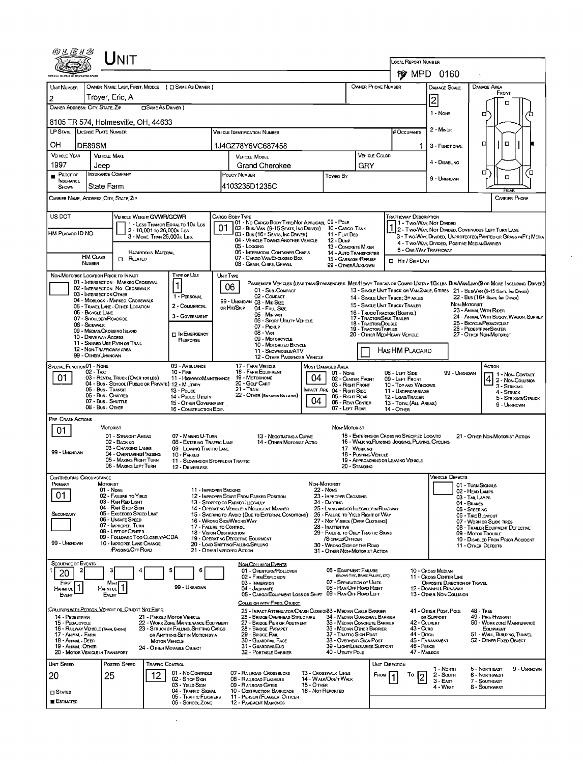|                                                         | LJNIT                                                                                           |                                                                                |                                                                                                                                                 |                                                                       |                                                                                    |                                                                                                                        |                                                                                                                                                                                                   |                                                       |                                                         |                                      |  |
|---------------------------------------------------------|-------------------------------------------------------------------------------------------------|--------------------------------------------------------------------------------|-------------------------------------------------------------------------------------------------------------------------------------------------|-----------------------------------------------------------------------|------------------------------------------------------------------------------------|------------------------------------------------------------------------------------------------------------------------|---------------------------------------------------------------------------------------------------------------------------------------------------------------------------------------------------|-------------------------------------------------------|---------------------------------------------------------|--------------------------------------|--|
|                                                         |                                                                                                 |                                                                                |                                                                                                                                                 | LOCAL REPORT NUMBER                                                   | <b>惨 MPD 0160</b>                                                                  |                                                                                                                        |                                                                                                                                                                                                   |                                                       |                                                         |                                      |  |
| <b>UNIT NUMBER</b>                                      | OWNER NAME: LAST, FIRST, MIDDLE ( C SAME AS DRIVER )                                            |                                                                                |                                                                                                                                                 |                                                                       |                                                                                    | OWNER PHONE NUMBER                                                                                                     |                                                                                                                                                                                                   | Damage Scale                                          | DAMAGE AREA                                             |                                      |  |
| 2                                                       | Trover, Eric, A                                                                                 |                                                                                |                                                                                                                                                 |                                                                       |                                                                                    |                                                                                                                        |                                                                                                                                                                                                   | 2                                                     | FRONT                                                   |                                      |  |
| OWNER ADDRESS: CITY, STATE, ZIP                         | <b>CISAME AS DRIVER</b> )                                                                       |                                                                                |                                                                                                                                                 |                                                                       |                                                                                    |                                                                                                                        |                                                                                                                                                                                                   | 1 - None                                              | □                                                       | о                                    |  |
|                                                         | 8105 TR 574, Holmesville, OH, 44633                                                             |                                                                                |                                                                                                                                                 |                                                                       |                                                                                    | # Occupants                                                                                                            |                                                                                                                                                                                                   | 2 - MINOR                                             |                                                         |                                      |  |
| LP STATE LICENSE PLATE NUMBER                           |                                                                                                 |                                                                                | <b>VEHICLE IDENTIFICATION NUMBER</b>                                                                                                            |                                                                       |                                                                                    |                                                                                                                        |                                                                                                                                                                                                   |                                                       | □                                                       | о                                    |  |
| ΟН<br>DE89SM<br><b>VEHICLE YEAR</b>                     | <b>VEHICLE MAKE</b>                                                                             |                                                                                | 1J4GZ78Y6VC687458<br><b>VEHICLE MODEL</b>                                                                                                       |                                                                       |                                                                                    | <b>VEHICLE COLOR</b>                                                                                                   | 1                                                                                                                                                                                                 | 3 - FUNCTIONAL                                        |                                                         |                                      |  |
| 1997                                                    | Jeep                                                                                            |                                                                                | <b>Grand Cherokee</b>                                                                                                                           |                                                                       | GRY                                                                                |                                                                                                                        |                                                                                                                                                                                                   | 4 - DISABLING                                         |                                                         |                                      |  |
| $P$ ROOF OF<br>INSURANCE                                | <b>INSURANCE COMPANY</b><br>State Farm                                                          |                                                                                | POUCY NUMBER<br>4103235D1235C                                                                                                                   | Toweo By                                                              |                                                                                    |                                                                                                                        |                                                                                                                                                                                                   | 9 - UNKNOWN                                           | о                                                       | Έ<br>o                               |  |
| SHOWN<br>CARRIER NAME, ADDRESS CITY, STATE, ZIP         |                                                                                                 |                                                                                |                                                                                                                                                 |                                                                       |                                                                                    |                                                                                                                        |                                                                                                                                                                                                   |                                                       |                                                         | REA<br>Carrier Phone                 |  |
| US DOT                                                  | <b>VEHICLE WEIGHT GVWR/GCWR</b>                                                                 |                                                                                | Cargo Body Type                                                                                                                                 |                                                                       |                                                                                    | TRAFFICWAY DESCRIPTION                                                                                                 |                                                                                                                                                                                                   |                                                       |                                                         |                                      |  |
|                                                         | 1 - LESS THAN OR EQUAL TO 10K LBS<br>2 - 10,001 то 26,000к Las                                  |                                                                                | 01 - No CARGO BODY TYPE/NOT APPLICABL 09 - POLE<br>02 - Bus/ Van (9-15 Seats, Inc Driver) 10 - Cargo Tank                                       |                                                                       |                                                                                    |                                                                                                                        |                                                                                                                                                                                                   | 1 - Two-Way, Not Divided                              |                                                         |                                      |  |
| HM PLACARO ID NO.                                       | 3 - MORE THAN 26,000 K LBS.                                                                     |                                                                                | 03 - Bus (16+ Seats, Inc Driver)<br>04 - VEHICLE TOWING ANOTHER VEHICLE                                                                         | 11 - Flat Bed<br>$12 - D$ uup                                         |                                                                                    |                                                                                                                        | 2 - Two-Way, Not Divided, Continuous LEFT TURN LANE<br>3 - Two-Way, DIVIDED, UNPROTECTED (PAINTEO OR GRASS >4FT.) MEDIA<br>4 - Two-Way, DIVIDED, POSITIVE MEDIANBARRIER<br>5 - ONE-WAY TRAFFICWAY |                                                       |                                                         |                                      |  |
| <b>HM CLASS</b>                                         | <b>HAZARDOUS MATERIAL</b><br>$\Box$ Related                                                     |                                                                                | 05 - Logging<br>06 - INTERMODAL CONTAINER CHASIS                                                                                                |                                                                       | 13 - CONCRETE MIXER<br>14 - AUTO TRANSPORTER                                       |                                                                                                                        |                                                                                                                                                                                                   |                                                       |                                                         |                                      |  |
| NUMBER                                                  |                                                                                                 |                                                                                | 07 - CARGO VAN ENCLOSED BOX<br>15 - GARBAGE / REFUSE<br><b>LI HIT / SKIP UNIT</b><br>08 - GRAIN, CHIPS, GRAVEL<br>99 - OTHER/UNKNOWN            |                                                                       |                                                                                    |                                                                                                                        |                                                                                                                                                                                                   |                                                       |                                                         |                                      |  |
| NON-MOTORIST LOCATION PRIOR TO IMPACT                   | 01 - INTERSECTION - MARKEO CROSSWAL                                                             | TYPE OF USE                                                                    | UNIT TYPE<br>PASSENGER VEHICLES (LESS THAN 9 PASSENGERS MEDIMEAVY TRUCKS OR COMBO UNITS > 10KLBS BUS/VAV/LIMO(9 OR MORE INCLUDING DRIVER)<br>06 |                                                                       |                                                                                    |                                                                                                                        |                                                                                                                                                                                                   |                                                       |                                                         |                                      |  |
|                                                         | 02 - INTERSECTION - NO CROSSWALK<br>03 - INTERSECTION OTHER<br>04 - MIDBLOCK - MARKEO CROSSWALK | 1 - PERSONAL                                                                   | 01 - Sub-COMPACT<br>02 - COMPACT                                                                                                                |                                                                       |                                                                                    | 13 - SINGLE UNIT TRUCK OR VAN 2AXLE, 6 TIRES 21 - BUS/VAN (9-15 SEATS, INC DRIVER)<br>14 - SINGLE UNIT TRUCK: 3+ AXLES |                                                                                                                                                                                                   |                                                       | 22 - Bus (16+ Seats, Inc Driver)                        |                                      |  |
| 06 - BICYCLE LANE                                       | 05 - TRAVEL LANE - OTHER LOCATION                                                               | 2 - COMMERCIAL                                                                 | 99 - UNKNOWN 03 - MID SIZE<br>OR HIT/SKIP<br>04 - Full Size                                                                                     |                                                                       |                                                                                    | 15 - SINGLE UNIT TRUCK / TRAILER<br>16 - TRUCK/TRACTOR (BOBTAIL)                                                       |                                                                                                                                                                                                   |                                                       | NON-MOTORIST<br>23 - ANIMAL WITH RIDER                  |                                      |  |
| 08 - Sidewalk                                           | 07 - Shoulder/Roadside                                                                          | 3 - GOVERNMENT                                                                 | 05 - MINIVAN<br>06 - Sport Utiuty Vehicle<br>07 - Pickup                                                                                        | 17 - TRACTOR/SEMI-TRAILER<br>18 - Tractor/Double                      | 24 - ANIMAL WITH BUGGY, WAGON, SURREY<br>25 - BICYCLE/PEOACYCLIST                  |                                                                                                                        |                                                                                                                                                                                                   |                                                       |                                                         |                                      |  |
| 10 - DRIVE WAY ACCESS                                   | 09 - MEDIAN/CROSSING ISLAND                                                                     | <b>D IN EMERGENCY</b><br>RESPONSE                                              | 08 - VAN<br>09 - MOTORCYCLE                                                                                                                     | <b>19 - TRACTOR/TRIPLES</b><br>20 - OTHER MED/HEAVY VEHICLE           |                                                                                    |                                                                                                                        | 26 - Pedestrian/Skater<br>27 - OTHER NON-MOTORIST                                                                                                                                                 |                                                       |                                                         |                                      |  |
|                                                         | 11 - SHARED-USE PATH OR TRAIL<br>12 - NON-TRAFFICWAY AREA                                       |                                                                                | 10 - MOTORIZEO BICYCLE<br>11 - SNOWMOBILE/ATV                                                                                                   |                                                                       |                                                                                    | HAS HM PLACARD                                                                                                         |                                                                                                                                                                                                   |                                                       |                                                         |                                      |  |
| 99 - OTHER/UNKNOWN<br>SPECIAL FUNCTION 01 - NONE        |                                                                                                 | 09 - AMBULANCE                                                                 | 12 - OTHER PASSENGER VEHICLE<br>17 - FARM VEHICLE                                                                                               | MOST DAMAGED AREA                                                     |                                                                                    |                                                                                                                        |                                                                                                                                                                                                   |                                                       | Астом                                                   |                                      |  |
| 02 - TAXI<br>01                                         | 03 - RENTAL TRUCK (OVER 10K LBS)                                                                | $10 -$ Fire<br>11 - HIGHWAY/MAINTENANCE                                        | 18 - FARM EQUIPMENT<br>19 - Мотопноме                                                                                                           | 01 - NONE<br>04                                                       | 02 - CENTER FRONT                                                                  | 08 - LEFT SIDE<br>09 - LEFT FRONT                                                                                      |                                                                                                                                                                                                   | 99 - UNKNOWN                                          |                                                         | 1 - Non-Contact<br>2 - Non-Collision |  |
|                                                         | 04 - Bus - SCHOOL (PUBLIC OR PRIVATE) 12 - MILITARY<br>05 - Bus - Transit<br>06 - Bus - Charter | 13 - Pouce                                                                     | 20 - GOLF CART<br>21 - TRAIN<br>22 - OTHER (EXPLAIN NARRATIVE)                                                                                  | <b>IMPACT ARE 04 - RIGHT SIDE</b>                                     | 03 - Right Front                                                                   | 10 - Top and Windows<br>11 - UNDERCARRIAGE                                                                             |                                                                                                                                                                                                   |                                                       |                                                         | 3 - STRIKING<br>4 - STRUCK           |  |
|                                                         | 07 - Bus - SHUTTLE<br>08 - Bus - Other                                                          | 14 - Pusuc Unury<br>15 - OTHER GOVERNMENT<br>16 - CONSTRUCTION EQIP.           |                                                                                                                                                 | 04                                                                    | 05 - Richt Rear<br>06 - REAR CENTER<br>07 - LEFT REAR                              | 12 - LOAD/TRAILER<br>13 - TOTAL (ALL AREAS)<br>14 - Отнев                                                              |                                                                                                                                                                                                   |                                                       |                                                         | 5 - STRIKING/STRUCK<br>9 - UNKNOWN   |  |
| Pre- Crash Actions                                      |                                                                                                 |                                                                                |                                                                                                                                                 |                                                                       |                                                                                    |                                                                                                                        |                                                                                                                                                                                                   |                                                       |                                                         |                                      |  |
| 01                                                      | <b>MOTORIST</b><br>01 - STRAIGHT AHEAD                                                          | 07 - MAKING U-TURN                                                             | 13 - NEGOTIATING A CURVE                                                                                                                        |                                                                       | NON-MOTORIST                                                                       | 15 - ENTERING OR CROSSING SPECIFIED LOCATIO                                                                            |                                                                                                                                                                                                   |                                                       | 21 - OTHER NON-MOTORIST ACTION                          |                                      |  |
| 99 - UNKNOWN                                            | 02 - BACKING<br>03 - CHANGING LANES                                                             | 08 - ENTERING TRAFFIC LANE<br>09 - LEAVING TRAFFIC LANE                        | 14 - OTHER MOTORIST ACTIO                                                                                                                       |                                                                       | 17 - WORKING                                                                       | 16 - WALKING, RUNNING, JOGGING, PLAYING, CYCLING                                                                       |                                                                                                                                                                                                   |                                                       |                                                         |                                      |  |
|                                                         | 04 - OVERTAKING/PASSING<br>05 - MAKING RIGHT TURN<br>06 - MAKING LEFT TURN                      | 10 - PARKED<br>11 - SLOWING OR STOPPED IN TRAFFIC                              |                                                                                                                                                 | 18 - Pushing Vehicle                                                  | 19 - APPROACHING OR LEAVING VEHICLE                                                |                                                                                                                        |                                                                                                                                                                                                   |                                                       |                                                         |                                      |  |
| Contributing Circumstance                               |                                                                                                 | 12 - DRIVERLESS                                                                |                                                                                                                                                 |                                                                       | 20 - Standing                                                                      |                                                                                                                        |                                                                                                                                                                                                   | Vehicle Defects                                       |                                                         |                                      |  |
| PRIMARY                                                 | MOTORIST<br>01 - None                                                                           | 11 - IMPROPER BACKING                                                          |                                                                                                                                                 | NON MOTORIST<br><b>22 - Nove</b><br>23 - IMPROPER CROSSING            |                                                                                    |                                                                                                                        |                                                                                                                                                                                                   |                                                       | 01 - TURN SIGNALS<br>02 - HEAD LAMPS                    |                                      |  |
| 01                                                      | 02 - FAILURE TO YIELD<br>03 - RAN RED LIGHT<br>04 - RAN STOP SIGN                               |                                                                                | 12 - IMPROPER START FROM PARKED POSITION<br>13 - STOPPED OR PARKEO LLEGALLY                                                                     | 25 - LYING AND/OR ILLEGALLY IN ROADWAY                                | 03 - TAIL LAMPS<br>04 - BRAKES                                                     |                                                                                                                        |                                                                                                                                                                                                   |                                                       |                                                         |                                      |  |
| SECONDARY                                               | 05 - Exceeped Speed Limit<br>06 - UNSAFE SPEED                                                  |                                                                                | 14 - OPERATING VEHICLE IN NEGLIGENT MANNER<br>15 - SWERING TO AVOID (DUE TO EXTERNAL CONDITIONS)<br>16 - Wrong Side/Wrong Way                   | 26 - FALURE TO YIELD RIGHT OF WAY<br>27 - NOT VISIBLE (DARK CLOTHING) | 05 - STEERING<br>06 - TIRE BLOWOUT                                                 |                                                                                                                        |                                                                                                                                                                                                   |                                                       |                                                         |                                      |  |
|                                                         | 07 - IMPROPER TURN<br>08 - LEFT OF CENTER                                                       | 17 - FALURE TO CONTROL                                                         | <b>18 - VISION OBSTRUCTION</b>                                                                                                                  | 29 - FAILURE TO OBEY TRAFFIC SIGNS                                    | 07 - WORN OR SLICK TIRES<br>08 - TRAILER EOUIPMENT DEFECTIVE<br>09 - MOTOR TROUBLE |                                                                                                                        |                                                                                                                                                                                                   |                                                       |                                                         |                                      |  |
| 99 - Unknown                                            | 09 - FOLLOWED TOO CLOSELY/ACDA<br>10 - IMPROPER LANE CHANGE<br>PASSING OFF ROAD                 |                                                                                | 19 - OPERATING DEFECTIVE EQUIPMENT<br>20 - LOAD SHIFTING/FALLING/SPILLING                                                                       | /SICNALS/OFFICER<br>30 - WRONG SIDE OF THE ROAD                       |                                                                                    |                                                                                                                        |                                                                                                                                                                                                   |                                                       | 10 - DISABLED FROM PRIOR ACCIDENT<br>11 - OTHER DEFECTS |                                      |  |
| <b>SEQUENCE OF EVENTS</b>                               |                                                                                                 |                                                                                | 21 - OTHER IMPROPER ACTION                                                                                                                      | 31 - OTHER NON-MOTORIST ACTION                                        |                                                                                    |                                                                                                                        |                                                                                                                                                                                                   |                                                       |                                                         |                                      |  |
| 2<br>20                                                 |                                                                                                 | 6                                                                              | <b>NON-COLLISION EVENTS</b><br>01 - Overturn/Rollover<br>02 - FIRE/EXPLOSION                                                                    |                                                                       | <b>06 - EQUIPMENT FAILURE</b><br>(BLOWN TIRE, BRAKE FAILURE, ETC)                  |                                                                                                                        |                                                                                                                                                                                                   | 10 - Cross Median<br>11 - Cross CENTER LINE           |                                                         |                                      |  |
| FIRST<br><b>HARMFUL</b>                                 | Most<br>$\mathbf{1}$<br>HARMFUL                                                                 | 99 - UNKNOWN                                                                   | 03 - IMMERSION<br>04 - JACKKNIFE                                                                                                                |                                                                       | 07 - SEPARATION OF UNITS<br>08 - RAN OFF ROAD RIGHT                                |                                                                                                                        |                                                                                                                                                                                                   | OPPOSITE DIRECTION OF TRAVEL<br>12 - DOWNHILL RUNAWAY |                                                         |                                      |  |
| EVENT                                                   | <b>E</b> vENT                                                                                   |                                                                                | 05 - CARGO/EQUIPMENT LOSS OR SHIFT 09 - RAN OFF ROAD LEFT<br>COLLISION WITH FIXED, OBJECT                                                       |                                                                       |                                                                                    |                                                                                                                        |                                                                                                                                                                                                   | 13 - OTHER NON-COLLISION                              |                                                         |                                      |  |
| 14 - PEDESTRIAN                                         | COLLISION WITH PERSON, VEHICLE OR OBJECT NOT FIXED                                              | 21 - PARKED MOTOR VEHICLE                                                      | 25 - IMPACT ATTENUATOR/CRASH CUSHION33 - MEDIAN CABLE BARRIER<br>26 - BRIDGE OVERHEAD STRUCTURE                                                 |                                                                       | 34 - MEDIAN GUARDRAIL BARRIER                                                      |                                                                                                                        |                                                                                                                                                                                                   | 41 - OTHER POST, POLE<br>OR SUPPORT                   | <b>48 - TREE</b><br>49 - FIRE HYDRANT                   |                                      |  |
| 15 - PEDALCYCLE<br>16 - RAILWAY VEHICLE (TRAIN, ENGINE) |                                                                                                 | 22 - WORK ZONE MAINTENANCE EQUIPMENT<br>23 - STRUCK BY FALLING, SHIFTING CARGO | 27 - BRIDGE PIER OR ABUTMENT<br>28 - BRIDGE PARAPET                                                                                             |                                                                       | 35 - MEDIAN CONCRETE BARRIER<br>36 - MEDIAN OTHER BARRIER                          |                                                                                                                        | 42 - CULVERT<br>43 - Cuns                                                                                                                                                                         |                                                       | 50 - WORK ZONE MAINTENANCE<br>EOUIPMENT                 |                                      |  |
| 17 - Animal - Farm<br>18 - Animal - Deer                | <b>MOTOR VEHICLE</b>                                                                            | OR ANYTHING SET IN MOTION BY A                                                 | 29 - BRIDGE RAIL<br>30 - GUARDRAIL FACE                                                                                                         |                                                                       | 37 - TRAFFIC SIGN POST<br>38 - OVERHEAD SIGN POST                                  |                                                                                                                        | 44 - Олтсн                                                                                                                                                                                        | 45 EMBANKMENT                                         | 51 - WALL BUILDING, TUNNEL<br>52 - OTHER FIXED OBJECT   |                                      |  |
| 19 - ANIMAL - OTHER<br>20 - MOTOR VEHICLE IN TRANSPORT  |                                                                                                 | 24 - OTHER MOVABLE OBJECT                                                      | 31 - GUARDRAILEND<br>32 - PORTABLE BARRIER                                                                                                      |                                                                       | 39 - LIGHT/LUMINARIES SUPPORT<br>40 - Unury Pole                                   |                                                                                                                        | 46 - FENCE<br>47 - MAILBOX                                                                                                                                                                        |                                                       |                                                         |                                      |  |
| UNIT SPEED                                              | POSTED SPEED<br><b>TRAFFIC CONTROL</b>                                                          | 01 - No Controls                                                               | 07 - RAILROAD CROSSBUCKS                                                                                                                        | 13 - Crosswalk Lines                                                  |                                                                                    | UNIT DIRECTION                                                                                                         |                                                                                                                                                                                                   | 1 - North                                             | 5 - NORTHEAST                                           | 9 - UNKNOWN                          |  |
| 20                                                      | 25<br>12                                                                                        | 02 - Stop Sign<br>03 - YIELD SIGN                                              | 08 - RAILROAD FLASHERS<br>09 - RAILROAD GATES                                                                                                   | 14 - WALK/DON'T WALK<br><b>15 - OTHER</b>                             |                                                                                    | FROM                                                                                                                   | То<br>2                                                                                                                                                                                           | 2 - South<br>3 - East<br>4 - West                     | 6 - NORTHWEST<br>7 - SOUTHEAST<br>8 - Southwest         |                                      |  |
| $\square$ Stated<br><b>E</b> ESTIMATED                  |                                                                                                 | 04 - TRAFFIC SIGNAL<br>05 - TRAFFIC FLASHERS                                   | 10 - Costruction Barricade<br>11 - PERSON (FLAGGER, OFFICER                                                                                     | 16 - Not Reported                                                     |                                                                                    |                                                                                                                        |                                                                                                                                                                                                   |                                                       |                                                         |                                      |  |
|                                                         |                                                                                                 | 06 - SCHOOL ZONE                                                               | <b>12 - PAVEMENT MARKINGS</b>                                                                                                                   |                                                                       |                                                                                    |                                                                                                                        |                                                                                                                                                                                                   |                                                       |                                                         |                                      |  |

 $\mathcal{L}^{\text{max}}_{\text{max}}$  , where  $\mathcal{L}^{\text{max}}_{\text{max}}$ 

 $\Delta \phi$